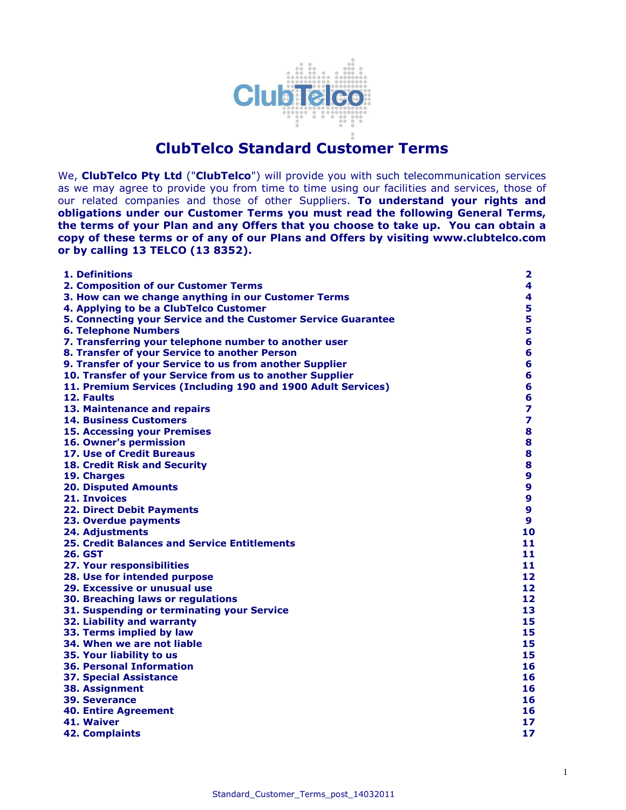

# **ClubTelco Standard Customer Terms**

We, **ClubTelco Pty Ltd** ("**ClubTelco**") will provide you with such telecommunication services as we may agree to provide you from time to time using our facilities and services, those of our related companies and those of other Suppliers. **To understand your rights and obligations under our Customer Terms you must read the following General Terms, the terms of your Plan and any Offers that you choose to take up. You can obtain a copy of these terms or of any of our Plans and Offers by visiting www[.clubtelco.com](http://www.aapt.com.au/) or by calling 13 TELCO (13 8352).**

| 1. Definitions                                                | $\mathbf{2}$            |
|---------------------------------------------------------------|-------------------------|
| 2. Composition of our Customer Terms                          | 4                       |
| 3. How can we change anything in our Customer Terms           | 4                       |
| 4. Applying to be a ClubTelco Customer                        | 5                       |
| 5. Connecting your Service and the Customer Service Guarantee | 5                       |
| <b>6. Telephone Numbers</b>                                   | 5                       |
| 7. Transferring your telephone number to another user         | 6                       |
| 8. Transfer of your Service to another Person                 | $6\phantom{a}$          |
| 9. Transfer of your Service to us from another Supplier       | $6\phantom{a}$          |
| 10. Transfer of your Service from us to another Supplier      | 6                       |
| 11. Premium Services (Including 190 and 1900 Adult Services)  | 6                       |
| 12. Faults                                                    | $6\phantom{1}$          |
| 13. Maintenance and repairs                                   | $\overline{\mathbf{z}}$ |
| <b>14. Business Customers</b>                                 | $\overline{\mathbf{z}}$ |
| <b>15. Accessing your Premises</b>                            | 8                       |
| 16. Owner's permission                                        | 8                       |
| 17. Use of Credit Bureaus                                     | 8                       |
| 18. Credit Risk and Security                                  | 8                       |
| 19. Charges                                                   | 9                       |
| <b>20. Disputed Amounts</b>                                   | 9                       |
| 21. Invoices                                                  | $\boldsymbol{9}$        |
| <b>22. Direct Debit Payments</b>                              | $\mathbf{9}$            |
| 23. Overdue payments                                          | $\mathbf{9}$            |
| 24. Adjustments                                               | 10                      |
| <b>25. Credit Balances and Service Entitlements</b>           | 11                      |
| 26. GST                                                       | 11                      |
| 27. Your responsibilities                                     | 11                      |
| 28. Use for intended purpose                                  | 12                      |
| 29. Excessive or unusual use                                  | 12                      |
| 30. Breaching laws or regulations                             | 12                      |
| 31. Suspending or terminating your Service                    | 13                      |
| 32. Liability and warranty                                    | 15                      |
| 33. Terms implied by law                                      | 15                      |
| 34. When we are not liable                                    | 15                      |
| 35. Your liability to us                                      | 15                      |
| <b>36. Personal Information</b>                               | 16                      |
| <b>37. Special Assistance</b>                                 | 16                      |
| <b>38. Assignment</b>                                         | 16                      |
| <b>39. Severance</b>                                          | 16                      |
| <b>40. Entire Agreement</b>                                   | 16                      |
| 41. Waiver                                                    | 17                      |
| <b>42. Complaints</b>                                         | 17                      |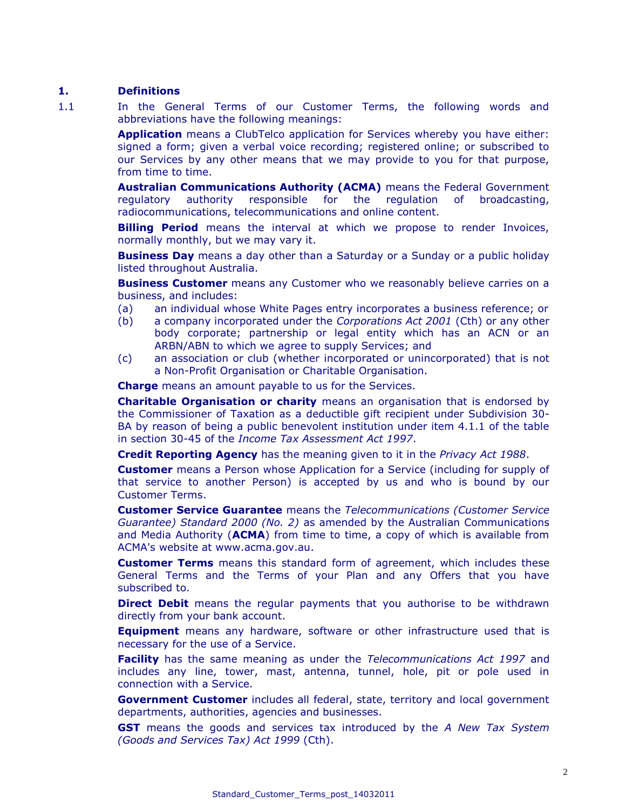#### **1. Definitions**

1.1 In the General Terms of our Customer Terms, the following words and abbreviations have the following meanings:

> **Application** means a ClubTelco application for Services whereby you have either: signed a form; given a verbal voice recording; registered online; or subscribed to our Services by any other means that we may provide to you for that purpose, from time to time.

> **Australian Communications Authority (ACMA)** means the Federal Government regulatory authority responsible for the regulation of broadcasting, radiocommunications, telecommunications and online content.

> **Billing Period** means the interval at which we propose to render Invoices, normally monthly, but we may vary it.

> **Business Day** means a day other than a Saturday or a Sunday or a public holiday listed throughout Australia.

> **Business Customer** means any Customer who we reasonably believe carries on a business, and includes:

- (a) an individual whose White Pages entry incorporates a business reference; or
- (b) a company incorporated under the *Corporations Act 2001* (Cth) or any other body corporate; partnership or legal entity which has an ACN or an ARBN/ABN to which we agree to supply Services; and
- (c) an association or club (whether incorporated or unincorporated) that is not a Non-Profit Organisation or Charitable Organisation.

**Charge** means an amount payable to us for the Services.

**Charitable Organisation or charity** means an organisation that is endorsed by the Commissioner of Taxation as a deductible gift recipient under Subdivision 30- BA by reason of being a public benevolent institution under item 4.1.1 of the table in section 30-45 of the *Income Tax Assessment Act 1997*.

**Credit Reporting Agency** has the meaning given to it in the *Privacy Act 1988*.

**Customer** means a Person whose Application for a Service (including for supply of that service to another Person) is accepted by us and who is bound by our Customer Terms.

**Customer Service Guarantee** means the *Telecommunications (Customer Service Guarantee) Standard 2000 (No. 2)* as amended by the Australian Communications and Media Authority (**ACMA**) from time to time, a copy of which is available from ACMA's website at [www.acma.gov.au.](http://www.acma.gov.au/)

**Customer Terms** means this standard form of agreement, which includes these General Terms and the Terms of your Plan and any Offers that you have subscribed to.

**Direct Debit** means the regular payments that you authorise to be withdrawn directly from your bank account.

**Equipment** means any hardware, software or other infrastructure used that is necessary for the use of a Service.

**Facility** has the same meaning as under the *Telecommunications Act 1997* and includes any line, tower, mast, antenna, tunnel, hole, pit or pole used in connection with a Service.

**Government Customer** includes all federal, state, territory and local government departments, authorities, agencies and businesses.

**GST** means the goods and services tax introduced by the *A New Tax System (Goods and Services Tax) Act 1999* (Cth).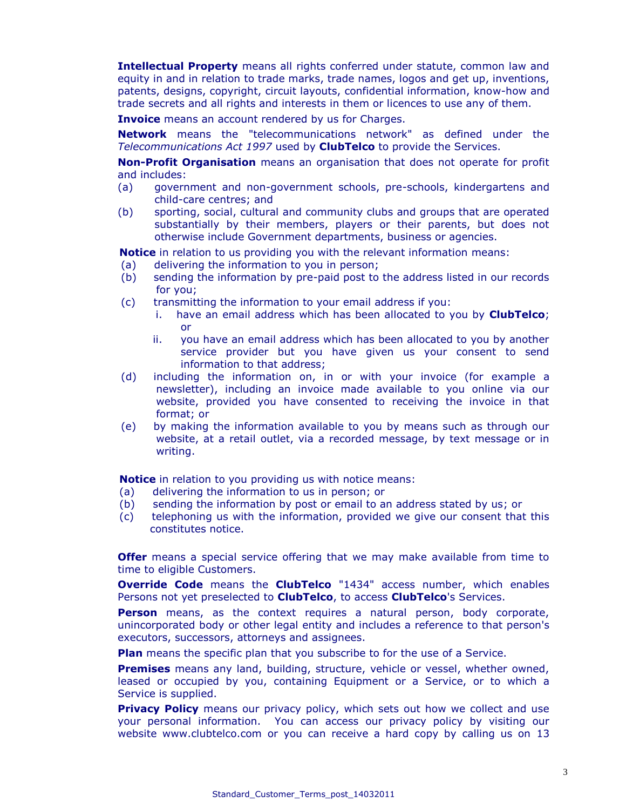**Intellectual Property** means all rights conferred under statute, common law and equity in and in relation to trade marks, trade names, logos and get up, inventions, patents, designs, copyright, circuit layouts, confidential information, know-how and trade secrets and all rights and interests in them or licences to use any of them.

**Invoice** means an account rendered by us for Charges.

**Network** means the "telecommunications network" as defined under the *Telecommunications Act 1997* used by **ClubTelco** to provide the Services.

**Non-Profit Organisation** means an organisation that does not operate for profit and includes:

- (a) government and non-government schools, pre-schools, kindergartens and child-care centres; and
- (b) sporting, social, cultural and community clubs and groups that are operated substantially by their members, players or their parents, but does not otherwise include Government departments, business or agencies.

**Notice** in relation to us providing you with the relevant information means:

- (a) delivering the information to you in person;
- (b) sending the information by pre-paid post to the address listed in our records for you;
- (c) transmitting the information to your email address if you:
	- i. have an email address which has been allocated to you by **ClubTelco**; or
	- ii. you have an email address which has been allocated to you by another service provider but you have given us your consent to send information to that address;
- (d) including the information on, in or with your invoice (for example a newsletter), including an invoice made available to you online via our website, provided you have consented to receiving the invoice in that format; or
- (e) by making the information available to you by means such as through our website, at a retail outlet, via a recorded message, by text message or in writing.

**Notice** in relation to you providing us with notice means:

- (a) delivering the information to us in person; or
- (b) sending the information by post or email to an address stated by us; or
- (c) telephoning us with the information, provided we give our consent that this constitutes notice.

**Offer** means a special service offering that we may make available from time to time to eligible Customers.

**Override Code** means the **ClubTelco** "1434" access number, which enables Persons not yet preselected to **ClubTelco**, to access **ClubTelco**'s Services.

**Person** means, as the context requires a natural person, body corporate, unincorporated body or other legal entity and includes a reference to that person's executors, successors, attorneys and assignees.

**Plan** means the specific plan that you subscribe to for the use of a Service.

**Premises** means any land, building, structure, vehicle or vessel, whether owned, leased or occupied by you, containing Equipment or a Service, or to which a Service is supplied.

**Privacy Policy** means our privacy policy, which sets out how we collect and use your personal information. You can access our privacy policy by visiting our website www[.clubtelco.](http://www.aapt.com.au/)com or you can receive a hard copy by calling us on 13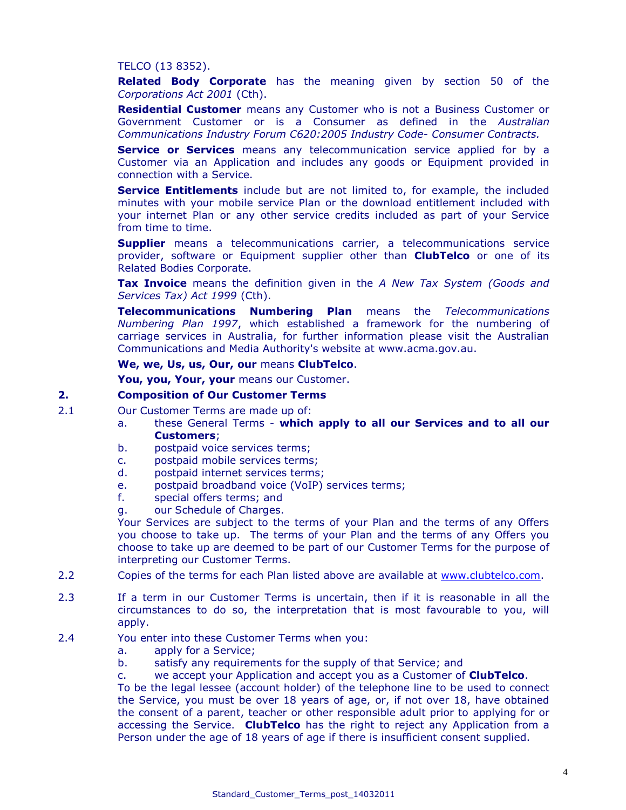#### TELCO (13 8352).

**Related Body Corporate** has the meaning given by section 50 of the *Corporations Act 2001* (Cth).

**Residential Customer** means any Customer who is not a Business Customer or Government Customer or is a Consumer as defined in the *Australian Communications Industry Forum C620:2005 Industry Code- Consumer Contracts.* 

**Service or Services** means any telecommunication service applied for by a Customer via an Application and includes any goods or Equipment provided in connection with a Service.

**Service Entitlements** include but are not limited to, for example, the included minutes with your mobile service Plan or the download entitlement included with your internet Plan or any other service credits included as part of your Service from time to time.

**Supplier** means a telecommunications carrier, a telecommunications service provider, software or Equipment supplier other than **ClubTelco** or one of its Related Bodies Corporate.

**Tax Invoice** means the definition given in the *A New Tax System (Goods and Services Tax) Act 1999* (Cth).

**Telecommunications Numbering Plan** means the *Telecommunications Numbering Plan 1997*, which established a framework for the numbering of carriage services in Australia, for further information please visit the Australian Communications and Media Authority's website at [www.acma.gov.au.](http://www.acma.gov.au/)

#### **We, we, Us, us, Our, our** means **ClubTelco**.

**You, you, Your, your** means our Customer.

# **2. Composition of Our Customer Terms**

- 2.1 Our Customer Terms are made up of:
	- a. these General Terms **which apply to all our Services and to all our Customers**;
	- b. postpaid voice services terms;
	- c. postpaid mobile services terms;
	- d. postpaid internet services terms;
	- e. postpaid broadband voice (VoIP) services terms;
	- f. special offers terms; and
	- g. our Schedule of Charges.

Your Services are subject to the terms of your Plan and the terms of any Offers you choose to take up. The terms of your Plan and the terms of any Offers you choose to take up are deemed to be part of our Customer Terms for the purpose of interpreting our Customer Terms.

- 2.2 Copies of the terms for each Plan listed above are available at [www.clubtelco.com.](http://www.clubtelco.com/)
- 2.3 If a term in our Customer Terms is uncertain, then if it is reasonable in all the circumstances to do so, the interpretation that is most favourable to you, will apply.
- 2.4 You enter into these Customer Terms when you:
	- a. apply for a Service;
	- b. satisfy any requirements for the supply of that Service; and
	- c. we accept your Application and accept you as a Customer of **ClubTelco**.

To be the legal lessee (account holder) of the telephone line to be used to connect the Service, you must be over 18 years of age, or, if not over 18, have obtained the consent of a parent, teacher or other responsible adult prior to applying for or accessing the Service. **ClubTelco** has the right to reject any Application from a Person under the age of 18 years of age if there is insufficient consent supplied.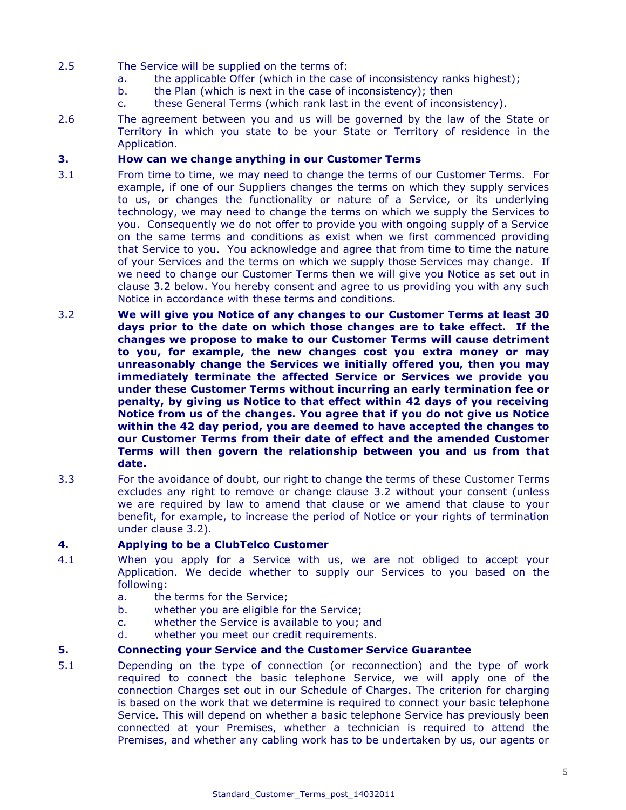- 2.5 The Service will be supplied on the terms of:
	- a. the applicable Offer (which in the case of inconsistency ranks highest);
	- b. the Plan (which is next in the case of inconsistency); then
	- c. these General Terms (which rank last in the event of inconsistency).
- 2.6 The agreement between you and us will be governed by the law of the State or Territory in which you state to be your State or Territory of residence in the Application.

# **3. How can we change anything in our Customer Terms**

- 3.1 From time to time, we may need to change the terms of our Customer Terms. For example, if one of our Suppliers changes the terms on which they supply services to us, or changes the functionality or nature of a Service, or its underlying technology, we may need to change the terms on which we supply the Services to you. Consequently we do not offer to provide you with ongoing supply of a Service on the same terms and conditions as exist when we first commenced providing that Service to you. You acknowledge and agree that from time to time the nature of your Services and the terms on which we supply those Services may change. If we need to change our Customer Terms then we will give you Notice as set out in clause 3.2 below. You hereby consent and agree to us providing you with any such Notice in accordance with these terms and conditions.
- 3.2 **We will give you Notice of any changes to our Customer Terms at least 30 days prior to the date on which those changes are to take effect. If the changes we propose to make to our Customer Terms will cause detriment to you, for example, the new changes cost you extra money or may unreasonably change the Services we initially offered you, then you may immediately terminate the affected Service or Services we provide you under these Customer Terms without incurring an early termination fee or penalty, by giving us Notice to that effect within 42 days of you receiving Notice from us of the changes. You agree that if you do not give us Notice within the 42 day period, you are deemed to have accepted the changes to our Customer Terms from their date of effect and the amended Customer Terms will then govern the relationship between you and us from that date.**
- 3.3 For the avoidance of doubt, our right to change the terms of these Customer Terms excludes any right to remove or change clause 3.2 without your consent (unless we are required by law to amend that clause or we amend that clause to your benefit, for example, to increase the period of Notice or your rights of termination under clause 3.2).

# **4. Applying to be a ClubTelco Customer**

- 4.1 When you apply for a Service with us, we are not obliged to accept your Application. We decide whether to supply our Services to you based on the following:
	- a. the terms for the Service;
	- b. whether you are eligible for the Service;
	- c. whether the Service is available to you; and
	- d. whether you meet our credit requirements.

# **5. Connecting your Service and the Customer Service Guarantee**

5.1 Depending on the type of connection (or reconnection) and the type of work required to connect the basic telephone Service, we will apply one of the connection Charges set out in our Schedule of Charges. The criterion for charging is based on the work that we determine is required to connect your basic telephone Service. This will depend on whether a basic telephone Service has previously been connected at your Premises, whether a technician is required to attend the Premises, and whether any cabling work has to be undertaken by us, our agents or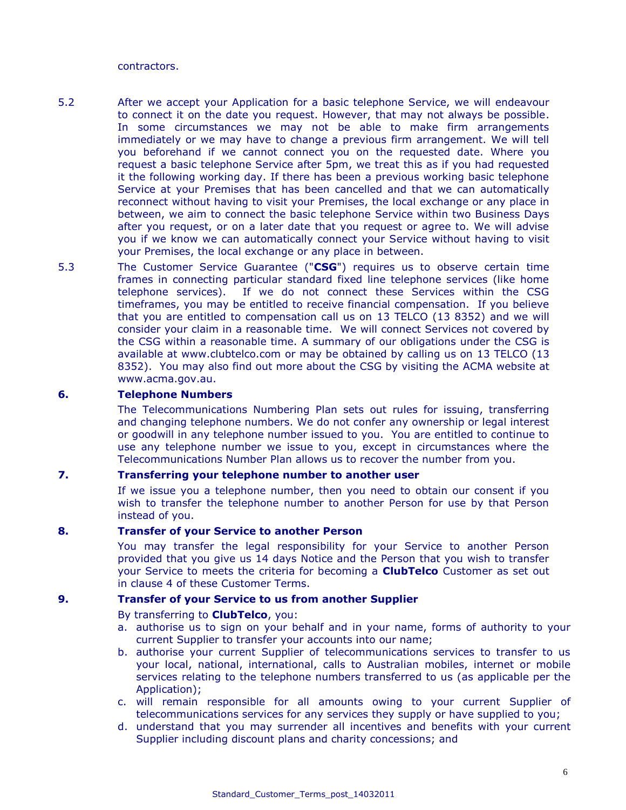contractors.

- 5.2 After we accept your Application for a basic telephone Service, we will endeavour to connect it on the date you request. However, that may not always be possible. In some circumstances we may not be able to make firm arrangements immediately or we may have to change a previous firm arrangement. We will tell you beforehand if we cannot connect you on the requested date. Where you request a basic telephone Service after 5pm, we treat this as if you had requested it the following working day. If there has been a previous working basic telephone Service at your Premises that has been cancelled and that we can automatically reconnect without having to visit your Premises, the local exchange or any place in between, we aim to connect the basic telephone Service within two Business Days after you request, or on a later date that you request or agree to. We will advise you if we know we can automatically connect your Service without having to visit your Premises, the local exchange or any place in between.
- 5.3 The Customer Service Guarantee ("**CSG**") requires us to observe certain time frames in connecting particular standard fixed line telephone services (like home telephone services). If we do not connect these Services within the CSG timeframes, you may be entitled to receive financial compensation. If you believe that you are entitled to compensation call us on 13 TELCO (13 8352) and we will consider your claim in a reasonable time. We will connect Services not covered by the CSG within a reasonable time. A summary of our obligations under the CSG is available at www[.clubtelco.com](http://www.aapt.com.au/) or may be obtained by calling us on 13 TELCO (13 8352). You may also find out more about the CSG by visiting the ACMA website at www.acma.gov.au.

# **6. Telephone Numbers**

The Telecommunications Numbering Plan sets out rules for issuing, transferring and changing telephone numbers. We do not confer any ownership or legal interest or goodwill in any telephone number issued to you. You are entitled to continue to use any telephone number we issue to you, except in circumstances where the Telecommunications Number Plan allows us to recover the number from you.

# **7. Transferring your telephone number to another user**

If we issue you a telephone number, then you need to obtain our consent if you wish to transfer the telephone number to another Person for use by that Person instead of you.

#### **8. Transfer of your Service to another Person**

You may transfer the legal responsibility for your Service to another Person provided that you give us 14 days Notice and the Person that you wish to transfer your Service to meets the criteria for becoming a **ClubTelco** Customer as set out in clause 4 of these Customer Terms.

#### **9. Transfer of your Service to us from another Supplier**

#### By transferring to **ClubTelco**, you:

- a. authorise us to sign on your behalf and in your name, forms of authority to your current Supplier to transfer your accounts into our name;
- b. authorise your current Supplier of telecommunications services to transfer to us your local, national, international, calls to Australian mobiles, internet or mobile services relating to the telephone numbers transferred to us (as applicable per the Application);
- c. will remain responsible for all amounts owing to your current Supplier of telecommunications services for any services they supply or have supplied to you;
- d. understand that you may surrender all incentives and benefits with your current Supplier including discount plans and charity concessions; and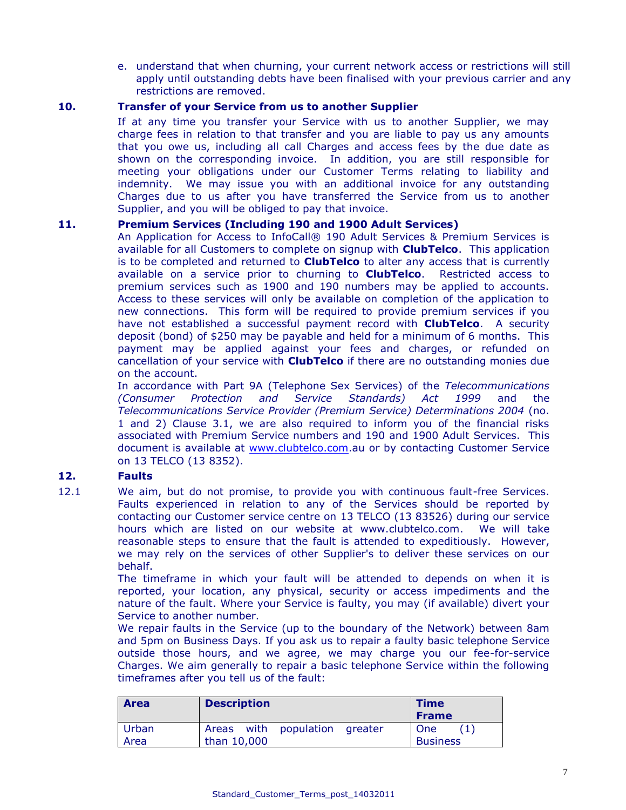e. understand that when churning, your current network access or restrictions will still apply until outstanding debts have been finalised with your previous carrier and any restrictions are removed.

# **10. Transfer of your Service from us to another Supplier**

If at any time you transfer your Service with us to another Supplier, we may charge fees in relation to that transfer and you are liable to pay us any amounts that you owe us, including all call Charges and access fees by the due date as shown on the corresponding invoice. In addition, you are still responsible for meeting your obligations under our Customer Terms relating to liability and indemnity. We may issue you with an additional invoice for any outstanding Charges due to us after you have transferred the Service from us to another Supplier, and you will be obliged to pay that invoice.

# **11. Premium Services (Including 190 and 1900 Adult Services)**

An Application for Access to InfoCall® 190 Adult Services & Premium Services is available for all Customers to complete on signup with **ClubTelco**. This application is to be completed and returned to **ClubTelco** to alter any access that is currently available on a service prior to churning to **ClubTelco**. Restricted access to premium services such as 1900 and 190 numbers may be applied to accounts. Access to these services will only be available on completion of the application to new connections. This form will be required to provide premium services if you have not established a successful payment record with **ClubTelco**. A security deposit (bond) of \$250 may be payable and held for a minimum of 6 months. This payment may be applied against your fees and charges, or refunded on cancellation of your service with **ClubTelco** if there are no outstanding monies due on the account.

In accordance with Part 9A (Telephone Sex Services) of the *Telecommunications (Consumer Protection and Service Standards) Act 1999* and the *Telecommunications Service Provider (Premium Service) Determinations 2004* (no. 1 and 2) Clause 3.1, we are also required to inform you of the financial risks associated with Premium Service numbers and 190 and 1900 Adult Services. This document is available at [www.clubtelco.com.](http://www.clubtelco.com/)au or by contacting Customer Service on 13 TELCO (13 8352).

# **12. Faults**

12.1 We aim, but do not promise, to provide you with continuous fault-free Services. Faults experienced in relation to any of the Services should be reported by contacting our Customer service centre on 13 TELCO (13 83526) during our service hours which are listed on our website at www.clubtelco.com. We will take reasonable steps to ensure that the fault is attended to expeditiously. However, we may rely on the services of other Supplier's to deliver these services on our behalf.

The timeframe in which your fault will be attended to depends on when it is reported, your location, any physical, security or access impediments and the nature of the fault. Where your Service is faulty, you may (if available) divert your Service to another number.

We repair faults in the Service (up to the boundary of the Network) between 8am and 5pm on Business Days. If you ask us to repair a faulty basic telephone Service outside those hours, and we agree, we may charge you our fee-for-service Charges. We aim generally to repair a basic telephone Service within the following timeframes after you tell us of the fault:

| <b>Area</b> | <b>Description</b>               | <b>Time</b><br><b>Frame</b> |
|-------------|----------------------------------|-----------------------------|
| Urban       | Areas with population<br>greater | One                         |
| Area        | than 10,000                      | <b>Business</b>             |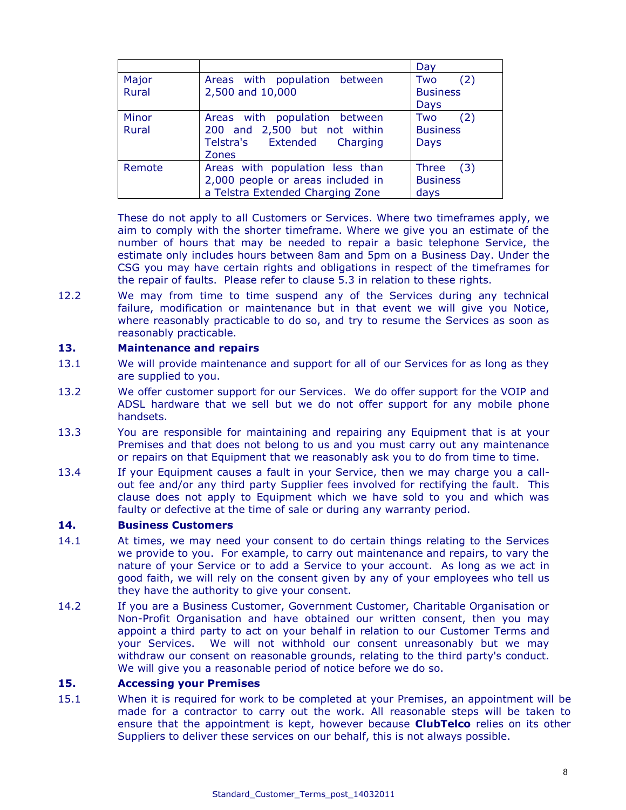|        |                                   | Day             |
|--------|-----------------------------------|-----------------|
| Major  | Areas with population between     | (2)<br>Two      |
| Rural  | 2,500 and 10,000                  | <b>Business</b> |
|        |                                   | Days            |
| Minor  | Areas with population between     | (2)<br>Two      |
| Rural  | 200 and 2,500 but not within      | <b>Business</b> |
|        | Telstra's Extended<br>Charging    | <b>Days</b>     |
|        | <b>Zones</b>                      |                 |
| Remote | Areas with population less than   | Three<br>(3)    |
|        | 2,000 people or areas included in | <b>Business</b> |
|        | a Telstra Extended Charging Zone  | days            |

These do not apply to all Customers or Services. Where two timeframes apply, we aim to comply with the shorter timeframe. Where we give you an estimate of the number of hours that may be needed to repair a basic telephone Service, the estimate only includes hours between 8am and 5pm on a Business Day. Under the CSG you may have certain rights and obligations in respect of the timeframes for the repair of faults. Please refer to clause 5.3 in relation to these rights.

12.2 We may from time to time suspend any of the Services during any technical failure, modification or maintenance but in that event we will give you Notice, where reasonably practicable to do so, and try to resume the Services as soon as reasonably practicable.

#### **13. Maintenance and repairs**

- 13.1 We will provide maintenance and support for all of our Services for as long as they are supplied to you.
- 13.2 We offer customer support for our Services. We do offer support for the VOIP and ADSL hardware that we sell but we do not offer support for any mobile phone handsets.
- 13.3 You are responsible for maintaining and repairing any Equipment that is at your Premises and that does not belong to us and you must carry out any maintenance or repairs on that Equipment that we reasonably ask you to do from time to time.
- 13.4 If your Equipment causes a fault in your Service, then we may charge you a callout fee and/or any third party Supplier fees involved for rectifying the fault. This clause does not apply to Equipment which we have sold to you and which was faulty or defective at the time of sale or during any warranty period.

# **14. Business Customers**

- 14.1 At times, we may need your consent to do certain things relating to the Services we provide to you. For example, to carry out maintenance and repairs, to vary the nature of your Service or to add a Service to your account. As long as we act in good faith, we will rely on the consent given by any of your employees who tell us they have the authority to give your consent.
- 14.2 If you are a Business Customer, Government Customer, Charitable Organisation or Non-Profit Organisation and have obtained our written consent, then you may appoint a third party to act on your behalf in relation to our Customer Terms and your Services. We will not withhold our consent unreasonably but we may withdraw our consent on reasonable grounds, relating to the third party's conduct. We will give you a reasonable period of notice before we do so.

#### **15. Accessing your Premises**

15.1 When it is required for work to be completed at your Premises, an appointment will be made for a contractor to carry out the work. All reasonable steps will be taken to ensure that the appointment is kept, however because **ClubTelco** relies on its other Suppliers to deliver these services on our behalf, this is not always possible.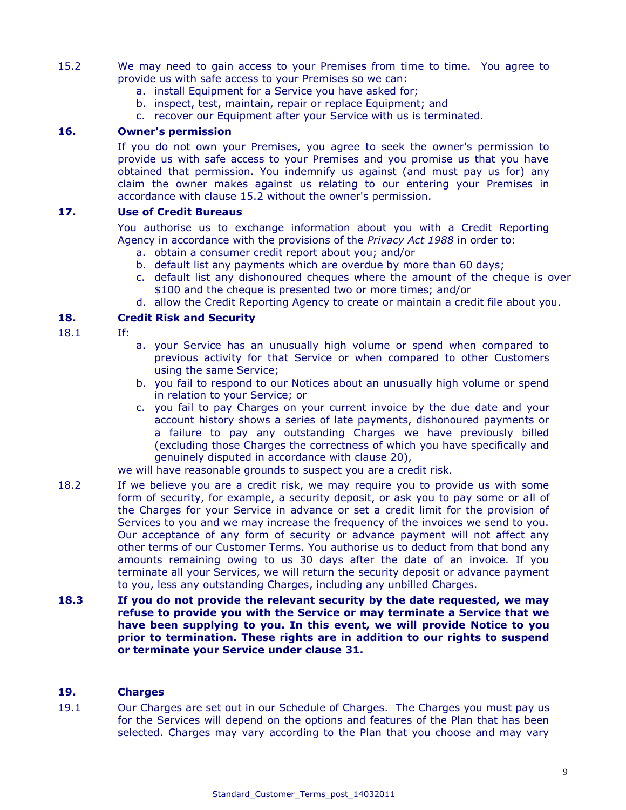- 15.2 We may need to gain access to your Premises from time to time. You agree to provide us with safe access to your Premises so we can:
	- a. install Equipment for a Service you have asked for;
	- b. inspect, test, maintain, repair or replace Equipment; and
	- c. recover our Equipment after your Service with us is terminated.

# **16. Owner's permission**

If you do not own your Premises, you agree to seek the owner's permission to provide us with safe access to your Premises and you promise us that you have obtained that permission. You indemnify us against (and must pay us for) any claim the owner makes against us relating to our entering your Premises in accordance with clause 15.2 without the owner's permission.

#### **17. Use of Credit Bureaus**

You authorise us to exchange information about you with a Credit Reporting Agency in accordance with the provisions of the *Privacy Act 1988* in order to:

- a. obtain a consumer credit report about you; and/or
- b. default list any payments which are overdue by more than 60 days;
- c. default list any dishonoured cheques where the amount of the cheque is over \$100 and the cheque is presented two or more times; and/or
- d. allow the Credit Reporting Agency to create or maintain a credit file about you.

# **18. Credit Risk and Security**

- 18.1 If:
- a. your Service has an unusually high volume or spend when compared to previous activity for that Service or when compared to other Customers using the same Service;
- b. you fail to respond to our Notices about an unusually high volume or spend in relation to your Service; or
- c. you fail to pay Charges on your current invoice by the due date and your account history shows a series of late payments, dishonoured payments or a failure to pay any outstanding Charges we have previously billed (excluding those Charges the correctness of which you have specifically and genuinely disputed in accordance with clause 20),

we will have reasonable grounds to suspect you are a credit risk.

- 18.2 If we believe you are a credit risk, we may require you to provide us with some form of security, for example, a security deposit, or ask you to pay some or all of the Charges for your Service in advance or set a credit limit for the provision of Services to you and we may increase the frequency of the invoices we send to you. Our acceptance of any form of security or advance payment will not affect any other terms of our Customer Terms. You authorise us to deduct from that bond any amounts remaining owing to us 30 days after the date of an invoice. If you terminate all your Services, we will return the security deposit or advance payment to you, less any outstanding Charges, including any unbilled Charges.
- **18.3 If you do not provide the relevant security by the date requested, we may refuse to provide you with the Service or may terminate a Service that we have been supplying to you. In this event, we will provide Notice to you prior to termination. These rights are in addition to our rights to suspend or terminate your Service under clause 31.**

# **19. Charges**

19.1 Our Charges are set out in our Schedule of Charges. The Charges you must pay us for the Services will depend on the options and features of the Plan that has been selected. Charges may vary according to the Plan that you choose and may vary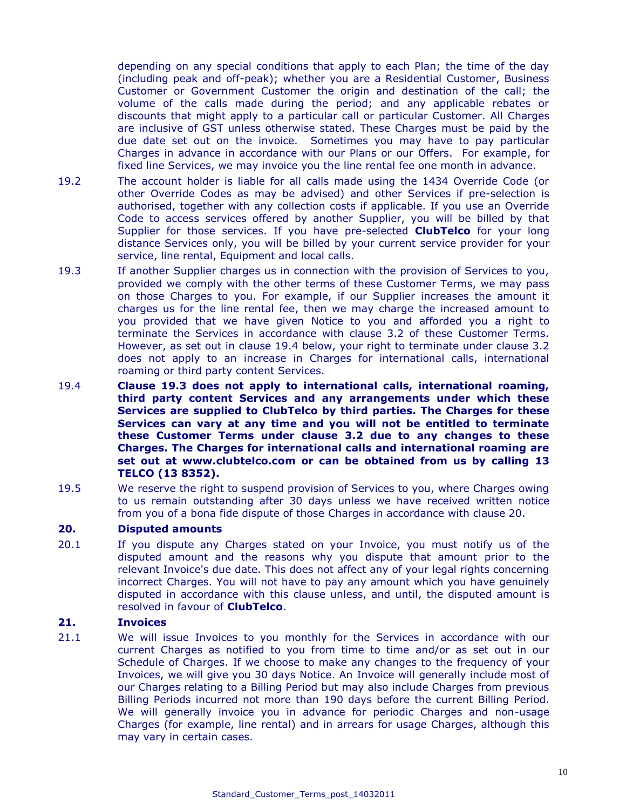depending on any special conditions that apply to each Plan; the time of the day (including peak and off-peak); whether you are a Residential Customer, Business Customer or Government Customer the origin and destination of the call; the volume of the calls made during the period; and any applicable rebates or discounts that might apply to a particular call or particular Customer. All Charges are inclusive of GST unless otherwise stated. These Charges must be paid by the due date set out on the invoice. Sometimes you may have to pay particular Charges in advance in accordance with our Plans or our Offers. For example, for fixed line Services, we may invoice you the line rental fee one month in advance.

- 19.2 The account holder is liable for all calls made using the 1434 Override Code (or other Override Codes as may be advised) and other Services if pre-selection is authorised, together with any collection costs if applicable. If you use an Override Code to access services offered by another Supplier, you will be billed by that Supplier for those services. If you have pre-selected **ClubTelco** for your long distance Services only, you will be billed by your current service provider for your service, line rental, Equipment and local calls.
- 19.3 If another Supplier charges us in connection with the provision of Services to you, provided we comply with the other terms of these Customer Terms, we may pass on those Charges to you. For example, if our Supplier increases the amount it charges us for the line rental fee, then we may charge the increased amount to you provided that we have given Notice to you and afforded you a right to terminate the Services in accordance with clause 3.2 of these Customer Terms. However, as set out in clause 19.4 below, your right to terminate under clause 3.2 does not apply to an increase in Charges for international calls, international roaming or third party content Services.
- 19.4 **Clause 19.3 does not apply to international calls, international roaming, third party content Services and any arrangements under which these Services are supplied to ClubTelco by third parties. The Charges for these Services can vary at any time and you will not be entitled to terminate these Customer Terms under clause 3.2 due to any changes to these Charges. The Charges for international calls and international roaming are set out at www[.clubtelco.com](http://www.aapt.com.au/) or can be obtained from us by calling 13 TELCO (13 8352).**
- 19.5 We reserve the right to suspend provision of Services to you, where Charges owing to us remain outstanding after 30 days unless we have received written notice from you of a bona fide dispute of those Charges in accordance with clause 20.

# **20. Disputed amounts**

20.1 If you dispute any Charges stated on your Invoice, you must notify us of the disputed amount and the reasons why you dispute that amount prior to the relevant Invoice's due date. This does not affect any of your legal rights concerning incorrect Charges. You will not have to pay any amount which you have genuinely disputed in accordance with this clause unless, and until, the disputed amount is resolved in favour of **ClubTelco**.

#### **21. Invoices**

21.1 We will issue Invoices to you monthly for the Services in accordance with our current Charges as notified to you from time to time and/or as set out in our Schedule of Charges. If we choose to make any changes to the frequency of your Invoices, we will give you 30 days Notice. An Invoice will generally include most of our Charges relating to a Billing Period but may also include Charges from previous Billing Periods incurred not more than 190 days before the current Billing Period. We will generally invoice you in advance for periodic Charges and non-usage Charges (for example, line rental) and in arrears for usage Charges, although this may vary in certain cases.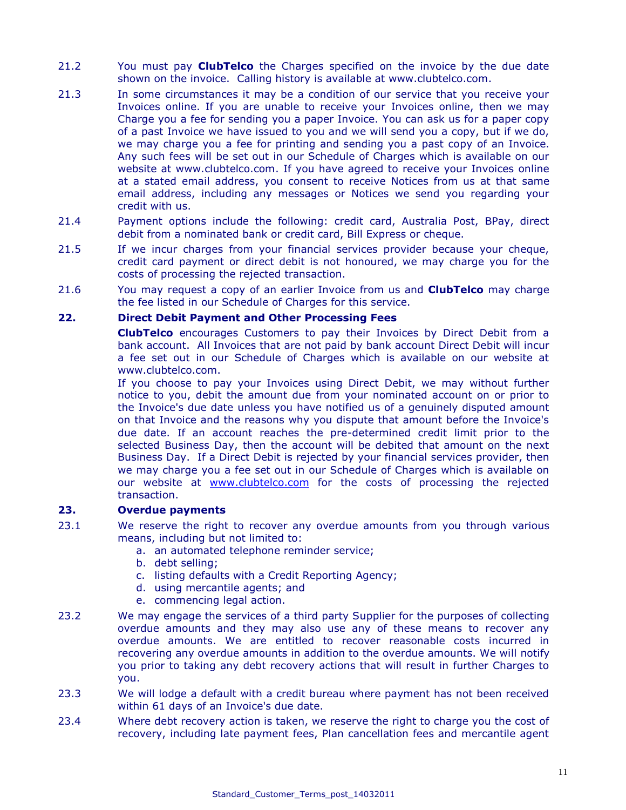- 21.2 You must pay **ClubTelco** the Charges specified on the invoice by the due date shown on the invoice. Calling history is available at www.clubtelco.com.
- 21.3 In some circumstances it may be a condition of our service that you receive your Invoices online. If you are unable to receive your Invoices online, then we may Charge you a fee for sending you a paper Invoice. You can ask us for a paper copy of a past Invoice we have issued to you and we will send you a copy, but if we do, we may charge you a fee for printing and sending you a past copy of an Invoice. Any such fees will be set out in our Schedule of Charges which is available on our website at www.clubtelco.com. If you have agreed to receive your Invoices online at a stated email address, you consent to receive Notices from us at that same email address, including any messages or Notices we send you regarding your credit with us.
- 21.4 Payment options include the following: credit card, Australia Post, BPay, direct debit from a nominated bank or credit card, Bill Express or cheque.
- 21.5 If we incur charges from your financial services provider because your cheque, credit card payment or direct debit is not honoured, we may charge you for the costs of processing the rejected transaction.
- 21.6 You may request a copy of an earlier Invoice from us and **ClubTelco** may charge the fee listed in our Schedule of Charges for this service.

# **22. Direct Debit Payment and Other Processing Fees**

**ClubTelco** encourages Customers to pay their Invoices by Direct Debit from a bank account. All Invoices that are not paid by bank account Direct Debit will incur a fee set out in our Schedule of Charges which is available on our website at www.clubtelco.com.

If you choose to pay your Invoices using Direct Debit, we may without further notice to you, debit the amount due from your nominated account on or prior to the Invoice's due date unless you have notified us of a genuinely disputed amount on that Invoice and the reasons why you dispute that amount before the Invoice's due date. If an account reaches the pre-determined credit limit prior to the selected Business Day, then the account will be debited that amount on the next Business Day. If a Direct Debit is rejected by your financial services provider, then we may charge you a fee set out in our Schedule of Charges which is available on our website at [www.clubtelco.com](http://www.clubtelco.com/) for the costs of processing the rejected transaction.

# **23. Overdue payments**

- 23.1 We reserve the right to recover any overdue amounts from you through various means, including but not limited to:
	- a. an automated telephone reminder service;
	- b. debt selling;
	- c. listing defaults with a Credit Reporting Agency;
	- d. using mercantile agents; and
	- e. commencing legal action.
- 23.2 We may engage the services of a third party Supplier for the purposes of collecting overdue amounts and they may also use any of these means to recover any overdue amounts. We are entitled to recover reasonable costs incurred in recovering any overdue amounts in addition to the overdue amounts. We will notify you prior to taking any debt recovery actions that will result in further Charges to you.
- 23.3 We will lodge a default with a credit bureau where payment has not been received within 61 days of an Invoice's due date.
- 23.4 Where debt recovery action is taken, we reserve the right to charge you the cost of recovery, including late payment fees, Plan cancellation fees and mercantile agent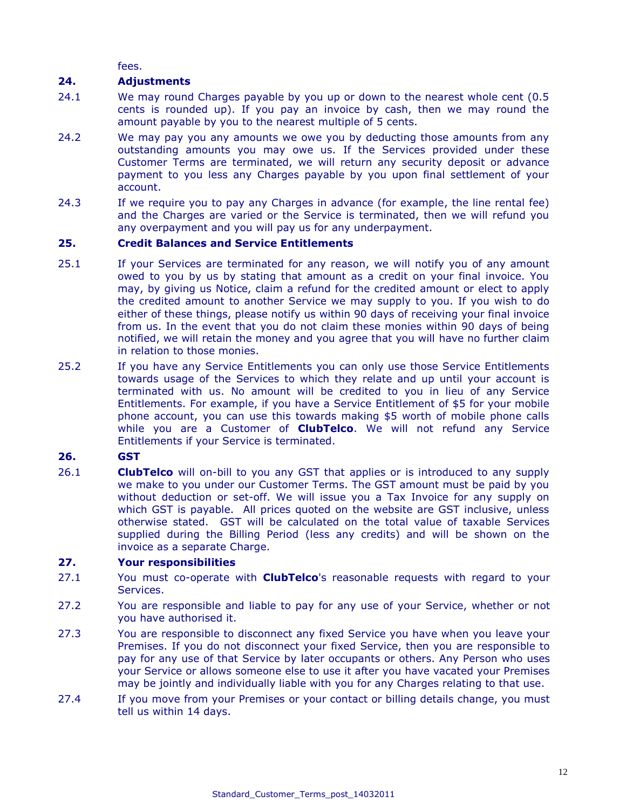fees.

# **24. Adjustments**

- 24.1 We may round Charges payable by you up or down to the nearest whole cent (0.5 cents is rounded up). If you pay an invoice by cash, then we may round the amount payable by you to the nearest multiple of 5 cents.
- 24.2 We may pay you any amounts we owe you by deducting those amounts from any outstanding amounts you may owe us. If the Services provided under these Customer Terms are terminated, we will return any security deposit or advance payment to you less any Charges payable by you upon final settlement of your account.
- 24.3 If we require you to pay any Charges in advance (for example, the line rental fee) and the Charges are varied or the Service is terminated, then we will refund you any overpayment and you will pay us for any underpayment.

# **25. Credit Balances and Service Entitlements**

- 25.1 If your Services are terminated for any reason, we will notify you of any amount owed to you by us by stating that amount as a credit on your final invoice. You may, by giving us Notice, claim a refund for the credited amount or elect to apply the credited amount to another Service we may supply to you. If you wish to do either of these things, please notify us within 90 days of receiving your final invoice from us. In the event that you do not claim these monies within 90 days of being notified, we will retain the money and you agree that you will have no further claim in relation to those monies.
- 25.2 If you have any Service Entitlements you can only use those Service Entitlements towards usage of the Services to which they relate and up until your account is terminated with us. No amount will be credited to you in lieu of any Service Entitlements. For example, if you have a Service Entitlement of \$5 for your mobile phone account, you can use this towards making \$5 worth of mobile phone calls while you are a Customer of **ClubTelco**. We will not refund any Service Entitlements if your Service is terminated.

# **26. GST**

26.1 **ClubTelco** will on-bill to you any GST that applies or is introduced to any supply we make to you under our Customer Terms. The GST amount must be paid by you without deduction or set-off. We will issue you a Tax Invoice for any supply on which GST is payable. All prices quoted on the website are GST inclusive, unless otherwise stated. GST will be calculated on the total value of taxable Services supplied during the Billing Period (less any credits) and will be shown on the invoice as a separate Charge.

# **27. Your responsibilities**

- 27.1 You must co-operate with **ClubTelco**'s reasonable requests with regard to your Services.
- 27.2 You are responsible and liable to pay for any use of your Service, whether or not you have authorised it.
- 27.3 You are responsible to disconnect any fixed Service you have when you leave your Premises. If you do not disconnect your fixed Service, then you are responsible to pay for any use of that Service by later occupants or others. Any Person who uses your Service or allows someone else to use it after you have vacated your Premises may be jointly and individually liable with you for any Charges relating to that use.
- 27.4 If you move from your Premises or your contact or billing details change, you must tell us within 14 days.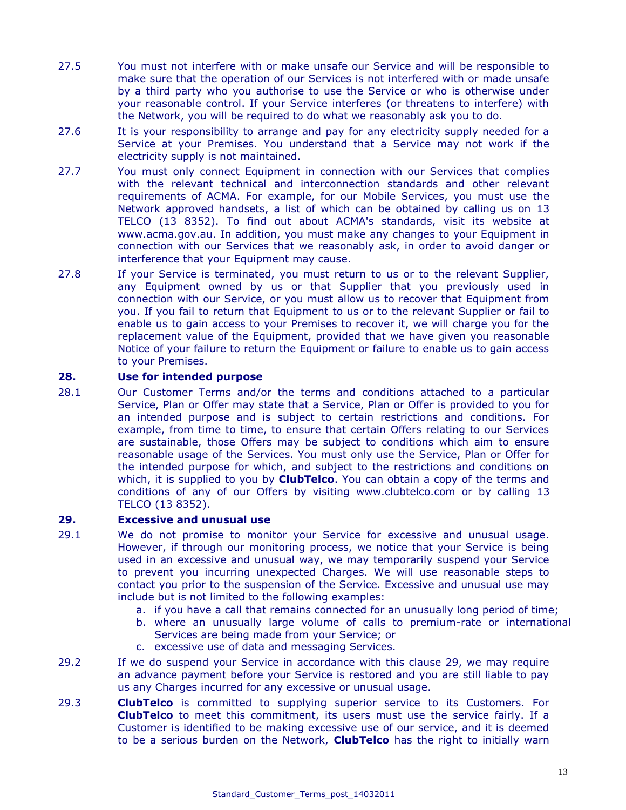- 27.5 You must not interfere with or make unsafe our Service and will be responsible to make sure that the operation of our Services is not interfered with or made unsafe by a third party who you authorise to use the Service or who is otherwise under your reasonable control. If your Service interferes (or threatens to interfere) with the Network, you will be required to do what we reasonably ask you to do.
- 27.6 It is your responsibility to arrange and pay for any electricity supply needed for a Service at your Premises. You understand that a Service may not work if the electricity supply is not maintained.
- 27.7 You must only connect Equipment in connection with our Services that complies with the relevant technical and interconnection standards and other relevant requirements of ACMA. For example, for our Mobile Services, you must use the Network approved handsets, a list of which can be obtained by calling us on 13 TELCO (13 8352). To find out about ACMA's standards, visit its website at [www.acma.gov.au.](http://www.acma.gov.au/) In addition, you must make any changes to your Equipment in connection with our Services that we reasonably ask, in order to avoid danger or interference that your Equipment may cause.
- 27.8 If your Service is terminated, you must return to us or to the relevant Supplier, any Equipment owned by us or that Supplier that you previously used in connection with our Service, or you must allow us to recover that Equipment from you. If you fail to return that Equipment to us or to the relevant Supplier or fail to enable us to gain access to your Premises to recover it, we will charge you for the replacement value of the Equipment, provided that we have given you reasonable Notice of your failure to return the Equipment or failure to enable us to gain access to your Premises.

# **28. Use for intended purpose**

28.1 Our Customer Terms and/or the terms and conditions attached to a particular Service, Plan or Offer may state that a Service, Plan or Offer is provided to you for an intended purpose and is subject to certain restrictions and conditions. For example, from time to time, to ensure that certain Offers relating to our Services are sustainable, those Offers may be subject to conditions which aim to ensure reasonable usage of the Services. You must only use the Service, Plan or Offer for the intended purpose for which, and subject to the restrictions and conditions on which, it is supplied to you by **ClubTelco**. You can obtain a copy of the terms and conditions of any of our Offers by visiting www[.clubtelco.com](http://www.aapt.com.au/) or by calling 13 TELCO (13 8352).

# **29. Excessive and unusual use**

- 29.1 We do not promise to monitor your Service for excessive and unusual usage. However, if through our monitoring process, we notice that your Service is being used in an excessive and unusual way, we may temporarily suspend your Service to prevent you incurring unexpected Charges. We will use reasonable steps to contact you prior to the suspension of the Service. Excessive and unusual use may include but is not limited to the following examples:
	- a. if you have a call that remains connected for an unusually long period of time;
	- b. where an unusually large volume of calls to premium-rate or international Services are being made from your Service; or
	- c. excessive use of data and messaging Services.
- 29.2 If we do suspend your Service in accordance with this clause 29, we may require an advance payment before your Service is restored and you are still liable to pay us any Charges incurred for any excessive or unusual usage.
- 29.3 **ClubTelco** is committed to supplying superior service to its Customers. For **ClubTelco** to meet this commitment, its users must use the service fairly. If a Customer is identified to be making excessive use of our service, and it is deemed to be a serious burden on the Network, **ClubTelco** has the right to initially warn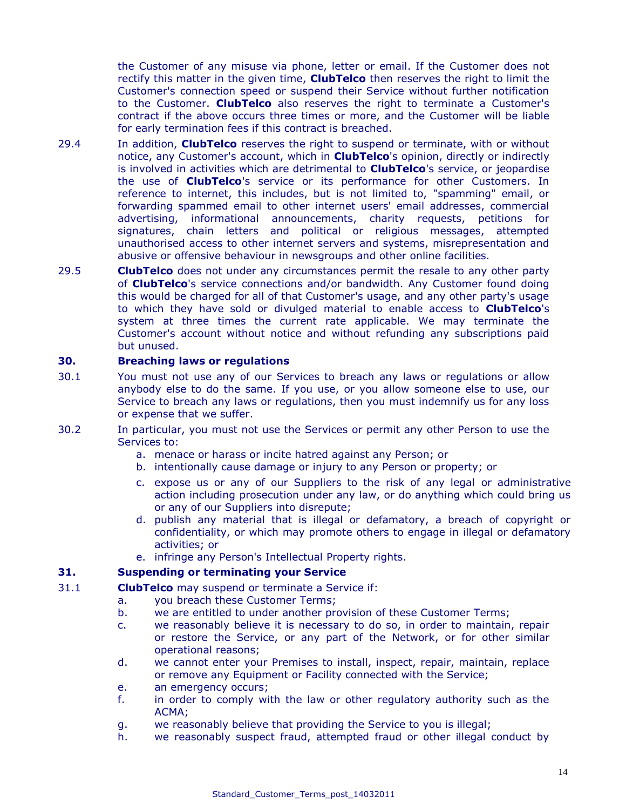the Customer of any misuse via phone, letter or email. If the Customer does not rectify this matter in the given time, **ClubTelco** then reserves the right to limit the Customer's connection speed or suspend their Service without further notification to the Customer. **ClubTelco** also reserves the right to terminate a Customer's contract if the above occurs three times or more, and the Customer will be liable for early termination fees if this contract is breached.

- 29.4 In addition, **ClubTelco** reserves the right to suspend or terminate, with or without notice, any Customer's account, which in **ClubTelco**'s opinion, directly or indirectly is involved in activities which are detrimental to **ClubTelco**'s service, or jeopardise the use of **ClubTelco**'s service or its performance for other Customers. In reference to internet, this includes, but is not limited to, "spamming" email, or forwarding spammed email to other internet users' email addresses, commercial advertising, informational announcements, charity requests, petitions for signatures, chain letters and political or religious messages, attempted unauthorised access to other internet servers and systems, misrepresentation and abusive or offensive behaviour in newsgroups and other online facilities.
- 29.5 **ClubTelco** does not under any circumstances permit the resale to any other party of **ClubTelco**'s service connections and/or bandwidth. Any Customer found doing this would be charged for all of that Customer's usage, and any other party's usage to which they have sold or divulged material to enable access to **ClubTelco**'s system at three times the current rate applicable. We may terminate the Customer's account without notice and without refunding any subscriptions paid but unused.

# **30. Breaching laws or regulations**

- 30.1 You must not use any of our Services to breach any laws or regulations or allow anybody else to do the same. If you use, or you allow someone else to use, our Service to breach any laws or regulations, then you must indemnify us for any loss or expense that we suffer.
- 30.2 In particular, you must not use the Services or permit any other Person to use the Services to:
	- a. menace or harass or incite hatred against any Person; or
	- b. intentionally cause damage or injury to any Person or property; or
	- c. expose us or any of our Suppliers to the risk of any legal or administrative action including prosecution under any law, or do anything which could bring us or any of our Suppliers into disrepute;
	- d. publish any material that is illegal or defamatory, a breach of copyright or confidentiality, or which may promote others to engage in illegal or defamatory activities; or
	- e. infringe any Person's Intellectual Property rights.

# **31. Suspending or terminating your Service**

- 31.1 **ClubTelco** may suspend or terminate a Service if:
	- a. you breach these Customer Terms;
		- b. we are entitled to under another provision of these Customer Terms;
		- c. we reasonably believe it is necessary to do so, in order to maintain, repair or restore the Service, or any part of the Network, or for other similar operational reasons;
		- d. we cannot enter your Premises to install, inspect, repair, maintain, replace or remove any Equipment or Facility connected with the Service;
		- e. an emergency occurs;
		- f. in order to comply with the law or other regulatory authority such as the ACMA;
		- g. we reasonably believe that providing the Service to you is illegal;
		- h. we reasonably suspect fraud, attempted fraud or other illegal conduct by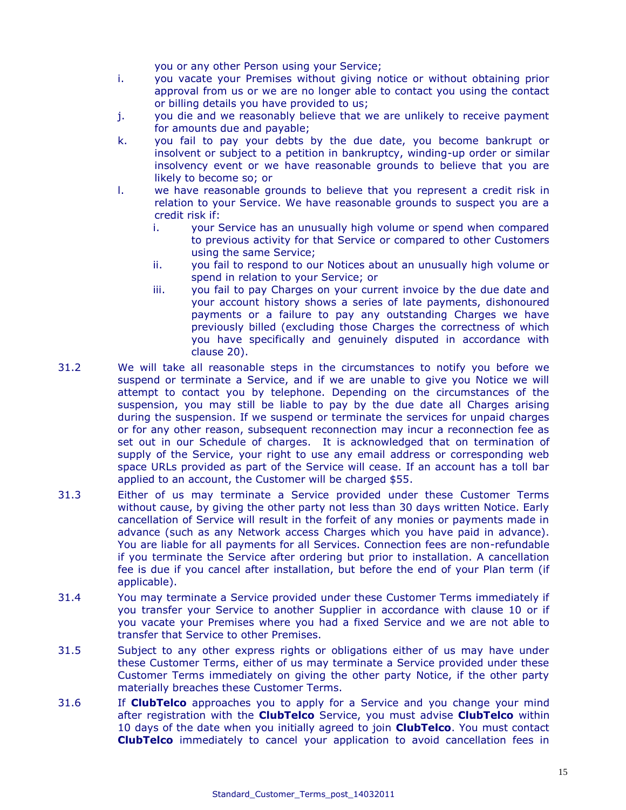you or any other Person using your Service;

- i. you vacate your Premises without giving notice or without obtaining prior approval from us or we are no longer able to contact you using the contact or billing details you have provided to us;
- j. you die and we reasonably believe that we are unlikely to receive payment for amounts due and payable;
- k. you fail to pay your debts by the due date, you become bankrupt or insolvent or subject to a petition in bankruptcy, winding-up order or similar insolvency event or we have reasonable grounds to believe that you are likely to become so; or
- l. we have reasonable grounds to believe that you represent a credit risk in relation to your Service. We have reasonable grounds to suspect you are a credit risk if:
	- i. your Service has an unusually high volume or spend when compared to previous activity for that Service or compared to other Customers using the same Service;
	- ii. you fail to respond to our Notices about an unusually high volume or spend in relation to your Service; or
	- iii. you fail to pay Charges on your current invoice by the due date and your account history shows a series of late payments, dishonoured payments or a failure to pay any outstanding Charges we have previously billed (excluding those Charges the correctness of which you have specifically and genuinely disputed in accordance with clause 20).
- 31.2 We will take all reasonable steps in the circumstances to notify you before we suspend or terminate a Service, and if we are unable to give you Notice we will attempt to contact you by telephone. Depending on the circumstances of the suspension, you may still be liable to pay by the due date all Charges arising during the suspension. If we suspend or terminate the services for unpaid charges or for any other reason, subsequent reconnection may incur a reconnection fee as set out in our Schedule of charges. It is acknowledged that on termination of supply of the Service, your right to use any email address or corresponding web space URLs provided as part of the Service will cease. If an account has a toll bar applied to an account, the Customer will be charged \$55.
- 31.3 Either of us may terminate a Service provided under these Customer Terms without cause, by giving the other party not less than 30 days written Notice. Early cancellation of Service will result in the forfeit of any monies or payments made in advance (such as any Network access Charges which you have paid in advance). You are liable for all payments for all Services. Connection fees are non-refundable if you terminate the Service after ordering but prior to installation. A cancellation fee is due if you cancel after installation, but before the end of your Plan term (if applicable).
- 31.4 You may terminate a Service provided under these Customer Terms immediately if you transfer your Service to another Supplier in accordance with clause 10 or if you vacate your Premises where you had a fixed Service and we are not able to transfer that Service to other Premises.
- 31.5 Subject to any other express rights or obligations either of us may have under these Customer Terms, either of us may terminate a Service provided under these Customer Terms immediately on giving the other party Notice, if the other party materially breaches these Customer Terms.
- 31.6 If **ClubTelco** approaches you to apply for a Service and you change your mind after registration with the **ClubTelco** Service, you must advise **ClubTelco** within 10 days of the date when you initially agreed to join **ClubTelco**. You must contact **ClubTelco** immediately to cancel your application to avoid cancellation fees in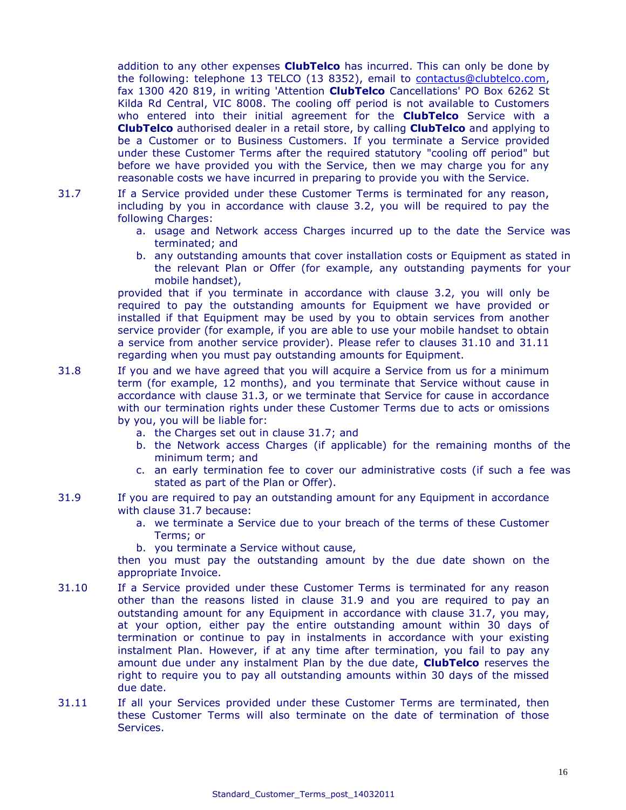addition to any other expenses **ClubTelco** has incurred. This can only be done by the following: telephone 13 TELCO (13 8352), email to [contactus@clubtelco.com,](mailto:contactus@clubtelco.com) fax 1300 420 819, in writing 'Attention **ClubTelco** Cancellations' PO Box 6262 St Kilda Rd Central, VIC 8008. The cooling off period is not available to Customers who entered into their initial agreement for the **ClubTelco** Service with a **ClubTelco** authorised dealer in a retail store, by calling **ClubTelco** and applying to be a Customer or to Business Customers. If you terminate a Service provided under these Customer Terms after the required statutory "cooling off period" but before we have provided you with the Service, then we may charge you for any reasonable costs we have incurred in preparing to provide you with the Service.

- 31.7 If a Service provided under these Customer Terms is terminated for any reason, including by you in accordance with clause 3.2, you will be required to pay the following Charges:
	- a. usage and Network access Charges incurred up to the date the Service was terminated; and
	- b. any outstanding amounts that cover installation costs or Equipment as stated in the relevant Plan or Offer (for example, any outstanding payments for your mobile handset),

provided that if you terminate in accordance with clause 3.2, you will only be required to pay the outstanding amounts for Equipment we have provided or installed if that Equipment may be used by you to obtain services from another service provider (for example, if you are able to use your mobile handset to obtain a service from another service provider). Please refer to clauses 31.10 and 31.11 regarding when you must pay outstanding amounts for Equipment.

- 31.8 If you and we have agreed that you will acquire a Service from us for a minimum term (for example, 12 months), and you terminate that Service without cause in accordance with clause 31.3, or we terminate that Service for cause in accordance with our termination rights under these Customer Terms due to acts or omissions by you, you will be liable for:
	- a. the Charges set out in clause 31.7; and
	- b. the Network access Charges (if applicable) for the remaining months of the minimum term; and
	- c. an early termination fee to cover our administrative costs (if such a fee was stated as part of the Plan or Offer).
- 31.9 If you are required to pay an outstanding amount for any Equipment in accordance with clause 31.7 because:
	- a. we terminate a Service due to your breach of the terms of these Customer Terms; or
	- b. you terminate a Service without cause,

then you must pay the outstanding amount by the due date shown on the appropriate Invoice.

- 31.10 If a Service provided under these Customer Terms is terminated for any reason other than the reasons listed in clause 31.9 and you are required to pay an outstanding amount for any Equipment in accordance with clause 31.7, you may, at your option, either pay the entire outstanding amount within 30 days of termination or continue to pay in instalments in accordance with your existing instalment Plan. However, if at any time after termination, you fail to pay any amount due under any instalment Plan by the due date, **ClubTelco** reserves the right to require you to pay all outstanding amounts within 30 days of the missed due date.
- 31.11 If all your Services provided under these Customer Terms are terminated, then these Customer Terms will also terminate on the date of termination of those Services.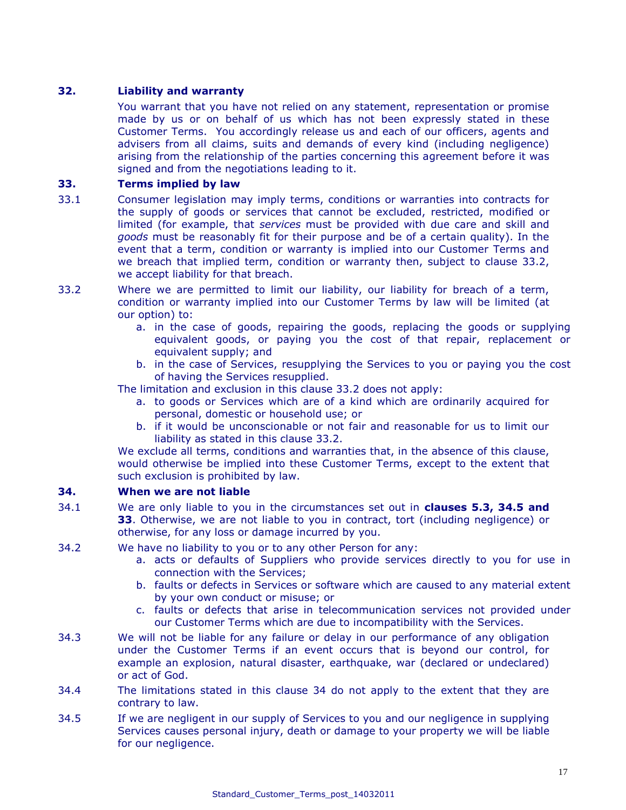# **32. Liability and warranty**

You warrant that you have not relied on any statement, representation or promise made by us or on behalf of us which has not been expressly stated in these Customer Terms. You accordingly release us and each of our officers, agents and advisers from all claims, suits and demands of every kind (including negligence) arising from the relationship of the parties concerning this agreement before it was signed and from the negotiations leading to it.

# **33. Terms implied by law**

- 33.1 Consumer legislation may imply terms, conditions or warranties into contracts for the supply of goods or services that cannot be excluded, restricted, modified or limited (for example, that *services* must be provided with due care and skill and *goods* must be reasonably fit for their purpose and be of a certain quality). In the event that a term, condition or warranty is implied into our Customer Terms and we breach that implied term, condition or warranty then, subject to clause 33.2, we accept liability for that breach.
- 33.2 Where we are permitted to limit our liability, our liability for breach of a term, condition or warranty implied into our Customer Terms by law will be limited (at our option) to:
	- a. in the case of goods, repairing the goods, replacing the goods or supplying equivalent goods, or paying you the cost of that repair, replacement or equivalent supply; and
	- b. in the case of Services, resupplying the Services to you or paying you the cost of having the Services resupplied.

The limitation and exclusion in this clause 33.2 does not apply:

- a. to goods or Services which are of a kind which are ordinarily acquired for personal, domestic or household use; or
- b. if it would be unconscionable or not fair and reasonable for us to limit our liability as stated in this clause 33.2.

We exclude all terms, conditions and warranties that, in the absence of this clause, would otherwise be implied into these Customer Terms, except to the extent that such exclusion is prohibited by law.

# **34. When we are not liable**

- 34.1 We are only liable to you in the circumstances set out in **clauses 5.3, 34.5 and 33**. Otherwise, we are not liable to you in contract, tort (including negligence) or otherwise, for any loss or damage incurred by you.
- 34.2 We have no liability to you or to any other Person for any:
	- a. acts or defaults of Suppliers who provide services directly to you for use in connection with the Services;
	- b. faults or defects in Services or software which are caused to any material extent by your own conduct or misuse; or
	- c. faults or defects that arise in telecommunication services not provided under our Customer Terms which are due to incompatibility with the Services.
- 34.3 We will not be liable for any failure or delay in our performance of any obligation under the Customer Terms if an event occurs that is beyond our control, for example an explosion, natural disaster, earthquake, war (declared or undeclared) or act of God.
- 34.4 The limitations stated in this clause 34 do not apply to the extent that they are contrary to law.
- 34.5 If we are negligent in our supply of Services to you and our negligence in supplying Services causes personal injury, death or damage to your property we will be liable for our negligence.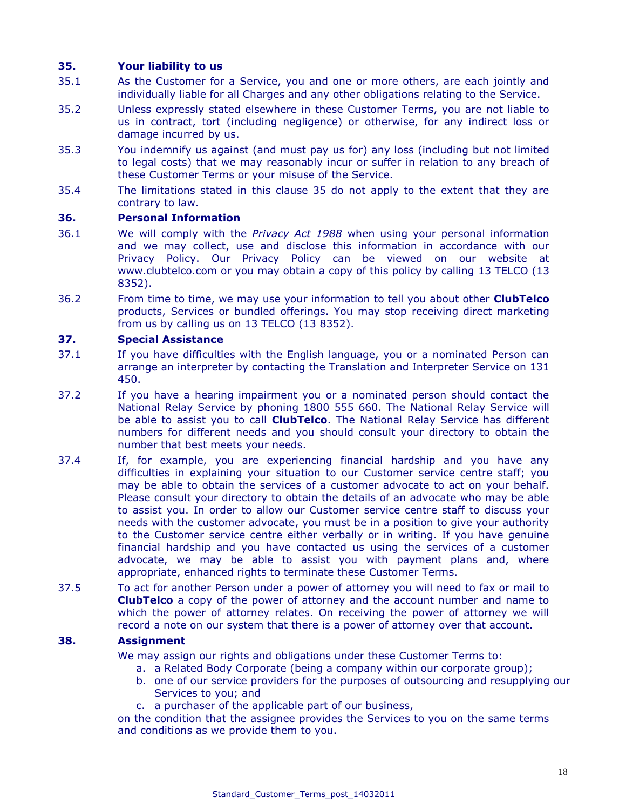# **35. Your liability to us**

- 35.1 As the Customer for a Service, you and one or more others, are each jointly and individually liable for all Charges and any other obligations relating to the Service.
- 35.2 Unless expressly stated elsewhere in these Customer Terms, you are not liable to us in contract, tort (including negligence) or otherwise, for any indirect loss or damage incurred by us.
- 35.3 You indemnify us against (and must pay us for) any loss (including but not limited to legal costs) that we may reasonably incur or suffer in relation to any breach of these Customer Terms or your misuse of the Service.
- 35.4 The limitations stated in this clause 35 do not apply to the extent that they are contrary to law.

#### **36. Personal Information**

- 36.1 We will comply with the *Privacy Act 1988* when using your personal information and we may collect, use and disclose this information in accordance with our Privacy Policy. Our Privacy Policy can be viewed on our website at www[.clubtelco.com](http://www.aapt.com.au/) or you may obtain a copy of this policy by calling 13 TELCO (13 8352).
- 36.2 From time to time, we may use your information to tell you about other **ClubTelco** products, Services or bundled offerings. You may stop receiving direct marketing from us by calling us on 13 TELCO (13 8352).

# **37. Special Assistance**

- 37.1 If you have difficulties with the English language, you or a nominated Person can arrange an interpreter by contacting the Translation and Interpreter Service on 131 450.
- 37.2 If you have a hearing impairment you or a nominated person should contact the National Relay Service by phoning 1800 555 660. The National Relay Service will be able to assist you to call **ClubTelco**. The National Relay Service has different numbers for different needs and you should consult your directory to obtain the number that best meets your needs.
- 37.4 If, for example, you are experiencing financial hardship and you have any difficulties in explaining your situation to our Customer service centre staff; you may be able to obtain the services of a customer advocate to act on your behalf. Please consult your directory to obtain the details of an advocate who may be able to assist you. In order to allow our Customer service centre staff to discuss your needs with the customer advocate, you must be in a position to give your authority to the Customer service centre either verbally or in writing. If you have genuine financial hardship and you have contacted us using the services of a customer advocate, we may be able to assist you with payment plans and, where appropriate, enhanced rights to terminate these Customer Terms.
- 37.5 To act for another Person under a power of attorney you will need to fax or mail to **ClubTelco** a copy of the power of attorney and the account number and name to which the power of attorney relates. On receiving the power of attorney we will record a note on our system that there is a power of attorney over that account.

# **38. Assignment**

We may assign our rights and obligations under these Customer Terms to:

- a. a Related Body Corporate (being a company within our corporate group);
- b. one of our service providers for the purposes of outsourcing and resupplying our Services to you; and
- c. a purchaser of the applicable part of our business,

on the condition that the assignee provides the Services to you on the same terms and conditions as we provide them to you.